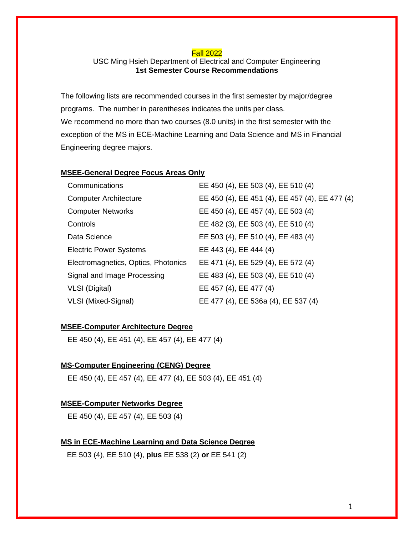#### Fall 2022

# USC Ming Hsieh Department of Electrical and Computer Engineering **1st Semester Course Recommendations**

The following lists are recommended courses in the first semester by major/degree programs. The number in parentheses indicates the units per class. We recommend no more than two courses (8.0 units) in the first semester with the exception of the MS in ECE-Machine Learning and Data Science and MS in Financial Engineering degree majors.

### **MSEE-General Degree Focus Areas Only**

| Communications                      | EE 450 (4), EE 503 (4), EE 510 (4)             |
|-------------------------------------|------------------------------------------------|
| <b>Computer Architecture</b>        | EE 450 (4), EE 451 (4), EE 457 (4), EE 477 (4) |
| <b>Computer Networks</b>            | EE 450 (4), EE 457 (4), EE 503 (4)             |
| Controls                            | EE 482 (3), EE 503 (4), EE 510 (4)             |
| Data Science                        | EE 503 (4), EE 510 (4), EE 483 (4)             |
| <b>Electric Power Systems</b>       | EE 443 (4), EE 444 (4)                         |
| Electromagnetics, Optics, Photonics | EE 471 (4), EE 529 (4), EE 572 (4)             |
| Signal and Image Processing         | EE 483 (4), EE 503 (4), EE 510 (4)             |
| <b>VLSI</b> (Digital)               | EE 457 (4), EE 477 (4)                         |
| VLSI (Mixed-Signal)                 | EE 477 (4), EE 536a (4), EE 537 (4)            |

### **MSEE-Computer Architecture Degree**

EE 450 (4), EE 451 (4), EE 457 (4), EE 477 (4)

#### **MS-Computer Engineering (CENG) Degree**

EE 450 (4), EE 457 (4), EE 477 (4), EE 503 (4), EE 451 (4)

#### **MSEE-Computer Networks Degree**

EE 450 (4), EE 457 (4), EE 503 (4)

#### **MS in ECE-Machine Learning and Data Science Degree**

EE 503 (4), EE 510 (4), **plus** EE 538 (2) **or** EE 541 (2)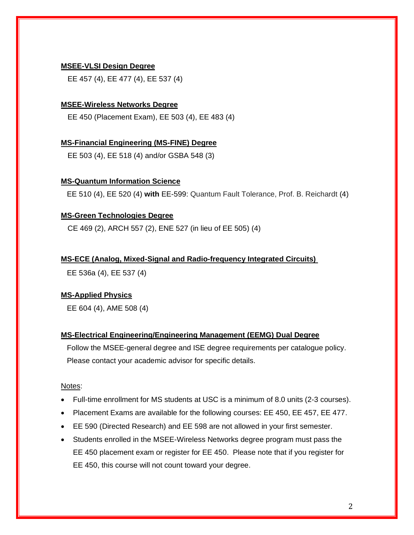### **MSEE-VLSI Design Degree**

EE 457 (4), EE 477 (4), EE 537 (4)

### **MSEE-Wireless Networks Degree**

EE 450 (Placement Exam), EE 503 (4), EE 483 (4)

### **MS-Financial Engineering (MS-FINE) Degree**

EE 503 (4), EE 518 (4) and/or GSBA 548 (3)

### **MS-Quantum Information Science**

EE 510 (4), EE 520 (4) **with** EE-599: Quantum Fault Tolerance, Prof. B. Reichardt (4)

## **MS-Green Technologies Degree**

CE 469 (2), ARCH 557 (2), ENE 527 (in lieu of EE 505) (4)

#### **MS-ECE (Analog, Mixed-Signal and Radio-frequency Integrated Circuits)**

EE 536a (4), EE 537 (4)

### **MS-Applied Physics**

EE 604 (4), AME 508 (4)

### **MS-Electrical Engineering/Engineering Management (EEMG) Dual Degree**

 Follow the MSEE-general degree and ISE degree requirements per catalogue policy. Please contact your academic advisor for specific details.

#### Notes:

- Full-time enrollment for MS students at USC is a minimum of 8.0 units (2-3 courses).
- Placement Exams are available for the following courses: EE 450, EE 457, EE 477.
- EE 590 (Directed Research) and EE 598 are not allowed in your first semester.
- Students enrolled in the MSEE-Wireless Networks degree program must pass the EE 450 placement exam or register for EE 450. Please note that if you register for EE 450, this course will not count toward your degree.